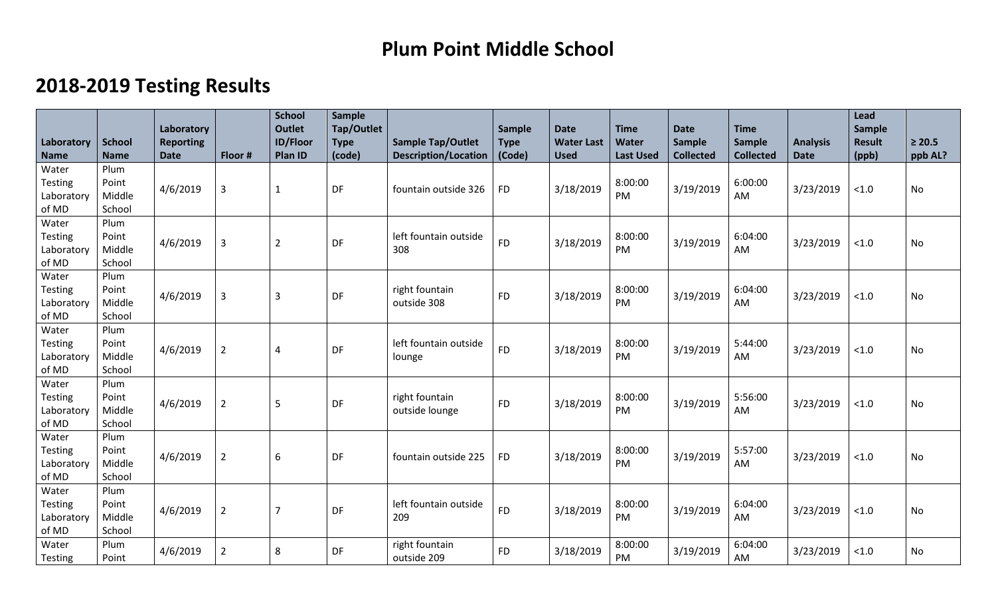## **Plum Point Middle School**

## **2018-2019 Testing Results**

|                     |                  | Laboratory       |                | <b>School</b><br><b>Outlet</b> | Sample<br>Tap/Outlet |                              | Sample      | <b>Date</b>       | <b>Time</b>      | <b>Date</b>      | <b>Time</b>      |                 | Lead<br>Sample |             |
|---------------------|------------------|------------------|----------------|--------------------------------|----------------------|------------------------------|-------------|-------------------|------------------|------------------|------------------|-----------------|----------------|-------------|
| Laboratory          | <b>School</b>    | <b>Reporting</b> |                | <b>ID/Floor</b>                | <b>Type</b>          | <b>Sample Tap/Outlet</b>     | <b>Type</b> | <b>Water Last</b> | Water            | <b>Sample</b>    | <b>Sample</b>    | <b>Analysis</b> | <b>Result</b>  | $\geq 20.5$ |
| <b>Name</b>         | <b>Name</b>      | <b>Date</b>      | Floor #        | Plan ID                        | (code)               | <b>Description/Location</b>  | (Code)      | <b>Used</b>       | <b>Last Used</b> | <b>Collected</b> | <b>Collected</b> | <b>Date</b>     | (ppb)          | ppb AL?     |
| Water               | Plum             |                  |                |                                |                      |                              |             |                   |                  |                  |                  |                 |                |             |
| <b>Testing</b>      | Point            | 4/6/2019         | $\overline{3}$ | $\mathbf{1}$                   | DF                   | fountain outside 326         | <b>FD</b>   | 3/18/2019         | 8:00:00          | 3/19/2019        | 6:00:00          | 3/23/2019       | < 1.0          | <b>No</b>   |
| Laboratory          | Middle           |                  |                |                                |                      |                              |             |                   | PM               |                  | AM               |                 |                |             |
| of MD               | School           |                  |                |                                |                      |                              |             |                   |                  |                  |                  |                 |                |             |
| Water               | Plum             |                  |                |                                |                      |                              |             |                   |                  |                  |                  |                 |                |             |
| <b>Testing</b>      | Point<br>Middle  | 4/6/2019         | $\overline{3}$ | $\overline{2}$                 | DF                   | left fountain outside<br>308 | <b>FD</b>   | 3/18/2019         | 8:00:00<br>PM    | 3/19/2019        | 6:04:00          | 3/23/2019       | < 1.0          | No          |
| Laboratory<br>of MD | School           |                  |                |                                |                      |                              |             |                   |                  |                  | AM               |                 |                |             |
| Water               | Plum             |                  |                |                                |                      |                              |             |                   |                  |                  |                  |                 |                |             |
| <b>Testing</b>      | Point            |                  |                |                                |                      | right fountain               |             |                   | 8:00:00          |                  | 6:04:00          |                 |                |             |
| Laboratory          | Middle           | 4/6/2019         | $\overline{3}$ | $\overline{3}$                 | DF                   | outside 308                  | <b>FD</b>   | 3/18/2019         | PM               | 3/19/2019        | AM               | 3/23/2019       | $<1.0$         | <b>No</b>   |
| of MD               | School           |                  |                |                                |                      |                              |             |                   |                  |                  |                  |                 |                |             |
| Water               | Plum             |                  |                |                                |                      |                              |             |                   |                  |                  |                  |                 |                |             |
| <b>Testing</b>      | Point            | 4/6/2019         | $\overline{2}$ | $\overline{4}$                 | DF                   | left fountain outside        | <b>FD</b>   | 3/18/2019         | 8:00:00          | 3/19/2019        | 5:44:00          | 3/23/2019       | < 1.0          | No          |
| Laboratory          | Middle           |                  |                |                                |                      | lounge                       |             |                   | PM               |                  | AM               |                 |                |             |
| of MD               | School           |                  |                |                                |                      |                              |             |                   |                  |                  |                  |                 |                |             |
| Water               | Plum             |                  |                |                                |                      |                              |             |                   |                  |                  |                  |                 |                |             |
| <b>Testing</b>      | Point            | 4/6/2019         | $\overline{2}$ | 5                              | DF                   | right fountain               | <b>FD</b>   | 3/18/2019         | 8:00:00<br>PM    | 3/19/2019        | 5:56:00          | 3/23/2019       | < 1.0          | No          |
| Laboratory<br>of MD | Middle<br>School |                  |                |                                |                      | outside lounge               |             |                   |                  |                  | AM               |                 |                |             |
| Water               | Plum             |                  |                |                                |                      |                              |             |                   |                  |                  |                  |                 |                |             |
| <b>Testing</b>      | Point            |                  |                |                                |                      |                              |             |                   | 8:00:00          |                  | 5:57:00          |                 |                |             |
| Laboratory          | Middle           | 4/6/2019         | $\overline{2}$ | $6\,$                          | DF                   | fountain outside 225         | <b>FD</b>   | 3/18/2019         | PM               | 3/19/2019        | <b>AM</b>        | 3/23/2019       | $<1.0$         | No          |
| of MD               | School           |                  |                |                                |                      |                              |             |                   |                  |                  |                  |                 |                |             |
| Water               | Plum             |                  |                |                                |                      |                              |             |                   |                  |                  |                  |                 |                |             |
| <b>Testing</b>      | Point            | 4/6/2019         | $\overline{2}$ | $\overline{7}$                 | DF                   | left fountain outside        | <b>FD</b>   | 3/18/2019         | 8:00:00          | 3/19/2019        | 6:04:00          | 3/23/2019       | < 1.0          | <b>No</b>   |
| Laboratory          | Middle           |                  |                |                                |                      | 209                          |             |                   | PM               |                  | AM               |                 |                |             |
| of MD               | School           |                  |                |                                |                      |                              |             |                   |                  |                  |                  |                 |                |             |
| Water               | Plum             | 4/6/2019         | $\overline{2}$ | 8                              | DF                   | right fountain               | <b>FD</b>   | 3/18/2019         | 8:00:00          | 3/19/2019        | 6:04:00          | 3/23/2019       | < 1.0          | No          |
| Testing             | Point            |                  |                |                                |                      | outside 209                  |             |                   | PM               |                  | AM               |                 |                |             |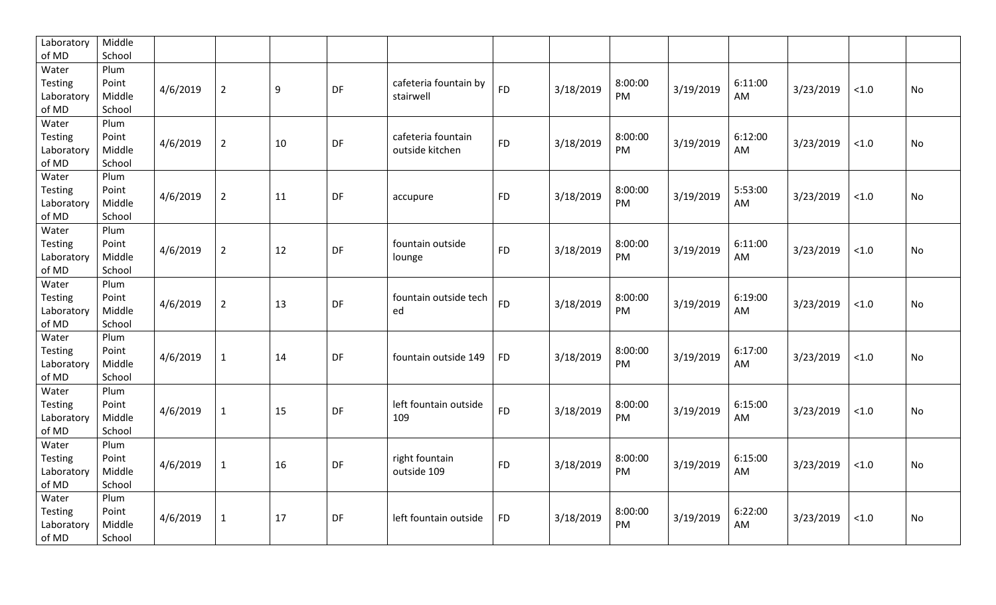| Laboratory     | Middle |          |                |    |           |                       |           |           |         |           |         |           |       |           |
|----------------|--------|----------|----------------|----|-----------|-----------------------|-----------|-----------|---------|-----------|---------|-----------|-------|-----------|
| of MD          | School |          |                |    |           |                       |           |           |         |           |         |           |       |           |
| Water          | Plum   |          |                |    |           |                       |           |           |         |           |         |           |       |           |
| <b>Testing</b> | Point  | 4/6/2019 | $\overline{2}$ | 9  | <b>DF</b> | cafeteria fountain by | <b>FD</b> | 3/18/2019 | 8:00:00 | 3/19/2019 | 6:11:00 | 3/23/2019 | < 1.0 | No        |
| Laboratory     | Middle |          |                |    |           | stairwell             |           |           | PM      |           | AM      |           |       |           |
| of MD          | School |          |                |    |           |                       |           |           |         |           |         |           |       |           |
| Water          | Plum   |          |                |    |           |                       |           |           |         |           |         |           |       |           |
| <b>Testing</b> | Point  | 4/6/2019 | $\overline{2}$ | 10 | DF        | cafeteria fountain    | <b>FD</b> | 3/18/2019 | 8:00:00 | 3/19/2019 | 6:12:00 | 3/23/2019 | < 1.0 | No        |
| Laboratory     | Middle |          |                |    |           | outside kitchen       |           |           | PM      |           | AM      |           |       |           |
| of MD          | School |          |                |    |           |                       |           |           |         |           |         |           |       |           |
| Water          | Plum   |          |                |    |           |                       |           |           |         |           |         |           |       |           |
| Testing        | Point  | 4/6/2019 | $\overline{2}$ | 11 | DF        |                       | <b>FD</b> | 3/18/2019 | 8:00:00 | 3/19/2019 | 5:53:00 | 3/23/2019 | < 1.0 | No        |
| Laboratory     | Middle |          |                |    |           | accupure              |           |           | PM      |           | AM      |           |       |           |
| of MD          | School |          |                |    |           |                       |           |           |         |           |         |           |       |           |
| Water          | Plum   |          |                |    |           |                       |           |           |         |           |         |           |       |           |
| <b>Testing</b> | Point  | 4/6/2019 | $\overline{2}$ | 12 | DF        | fountain outside      | <b>FD</b> | 3/18/2019 | 8:00:00 | 3/19/2019 | 6:11:00 | 3/23/2019 | < 1.0 | No        |
| Laboratory     | Middle |          |                |    |           | lounge                |           |           | PM      |           | AM      |           |       |           |
| of MD          | School |          |                |    |           |                       |           |           |         |           |         |           |       |           |
| Water          | Plum   |          |                |    |           |                       |           |           |         |           |         |           |       |           |
| <b>Testing</b> | Point  | 4/6/2019 |                |    | <b>DF</b> | fountain outside tech | <b>FD</b> |           | 8:00:00 |           | 6:19:00 |           |       |           |
| Laboratory     | Middle |          | $\overline{2}$ | 13 |           | ed                    |           | 3/18/2019 | PM      | 3/19/2019 | AM      | 3/23/2019 | < 1.0 | No        |
| of MD          | School |          |                |    |           |                       |           |           |         |           |         |           |       |           |
| Water          | Plum   |          |                |    |           |                       |           |           |         |           |         |           |       |           |
| <b>Testing</b> | Point  |          |                |    |           |                       |           |           | 8:00:00 |           | 6:17:00 |           |       |           |
| Laboratory     | Middle | 4/6/2019 | $\mathbf{1}$   | 14 | DF        | fountain outside 149  | <b>FD</b> | 3/18/2019 | PM      | 3/19/2019 | AM      | 3/23/2019 | < 1.0 | <b>No</b> |
| of MD          | School |          |                |    |           |                       |           |           |         |           |         |           |       |           |
| Water          | Plum   |          |                |    |           |                       |           |           |         |           |         |           |       |           |
| Testing        | Point  |          |                |    |           | left fountain outside | <b>FD</b> |           | 8:00:00 |           | 6:15:00 |           |       |           |
| Laboratory     | Middle | 4/6/2019 | $\mathbf{1}$   | 15 | DF        | 109                   |           | 3/18/2019 | PM      | 3/19/2019 | AM      | 3/23/2019 | < 1.0 | <b>No</b> |
| of MD          | School |          |                |    |           |                       |           |           |         |           |         |           |       |           |
| Water          | Plum   |          |                |    |           |                       |           |           |         |           |         |           |       |           |
| Testing        | Point  |          |                |    |           | right fountain        |           |           | 8:00:00 |           | 6:15:00 |           |       |           |
| Laboratory     | Middle | 4/6/2019 | $\mathbf{1}$   | 16 | DF        | outside 109           | <b>FD</b> | 3/18/2019 | PM      | 3/19/2019 | AM      | 3/23/2019 | < 1.0 | No        |
| of MD          | School |          |                |    |           |                       |           |           |         |           |         |           |       |           |
| Water          | Plum   |          |                |    |           |                       |           |           |         |           |         |           |       |           |
| <b>Testing</b> | Point  |          |                |    |           |                       |           |           | 8:00:00 |           | 6:22:00 |           |       |           |
| Laboratory     | Middle | 4/6/2019 | $\mathbf{1}$   | 17 | DF        | left fountain outside | <b>FD</b> | 3/18/2019 | PM      | 3/19/2019 | AM      | 3/23/2019 | < 1.0 | <b>No</b> |
| of MD          | School |          |                |    |           |                       |           |           |         |           |         |           |       |           |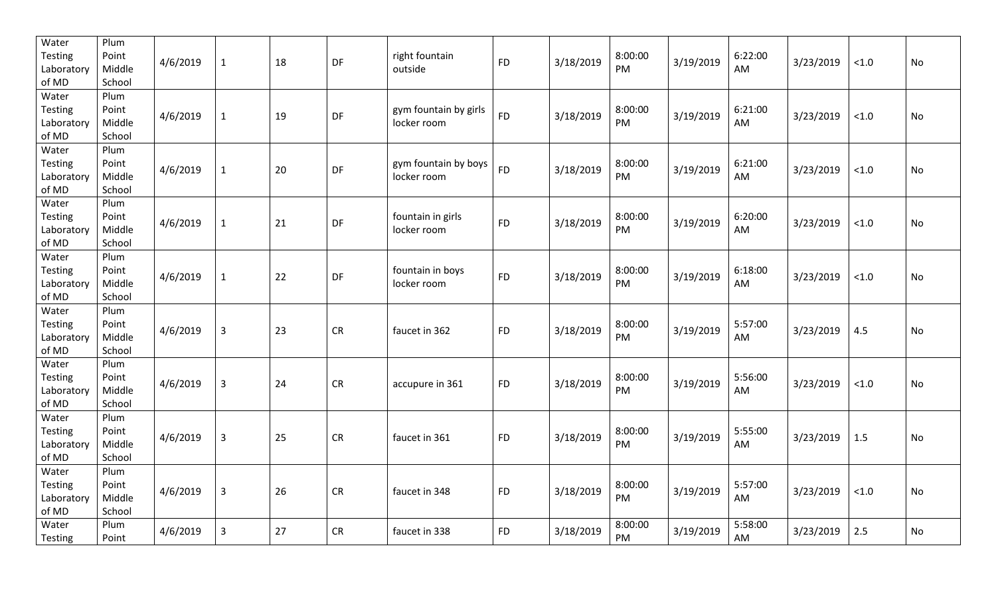| Water<br>Testing<br>Laboratory<br>of MD        | Plum<br>Point<br>Middle<br>School | 4/6/2019 | $\mathbf{1}$   | 18 | DF         | right fountain<br>outside            | <b>FD</b> | 3/18/2019 | 8:00:00<br>PM | 3/19/2019 | 6:22:00<br>AM | 3/23/2019 | $<1.0$ | No |
|------------------------------------------------|-----------------------------------|----------|----------------|----|------------|--------------------------------------|-----------|-----------|---------------|-----------|---------------|-----------|--------|----|
| Water<br>Testing<br>Laboratory<br>of MD        | Plum<br>Point<br>Middle<br>School | 4/6/2019 | $\mathbf{1}$   | 19 | DF         | gym fountain by girls<br>locker room | <b>FD</b> | 3/18/2019 | 8:00:00<br>PM | 3/19/2019 | 6:21:00<br>AM | 3/23/2019 | $<1.0$ | No |
| Water<br><b>Testing</b><br>Laboratory<br>of MD | Plum<br>Point<br>Middle<br>School | 4/6/2019 | $\mathbf{1}$   | 20 | DF         | gym fountain by boys<br>locker room  | <b>FD</b> | 3/18/2019 | 8:00:00<br>PM | 3/19/2019 | 6:21:00<br>AM | 3/23/2019 | $<1.0$ | No |
| Water<br>Testing<br>Laboratory<br>of MD        | Plum<br>Point<br>Middle<br>School | 4/6/2019 | $\mathbf{1}$   | 21 | DF         | fountain in girls<br>locker room     | <b>FD</b> | 3/18/2019 | 8:00:00<br>PM | 3/19/2019 | 6:20:00<br>AM | 3/23/2019 | $<1.0$ | No |
| Water<br>Testing<br>Laboratory<br>of MD        | Plum<br>Point<br>Middle<br>School | 4/6/2019 | $\mathbf{1}$   | 22 | DF         | fountain in boys<br>locker room      | <b>FD</b> | 3/18/2019 | 8:00:00<br>PM | 3/19/2019 | 6:18:00<br>AM | 3/23/2019 | $<1.0$ | No |
| Water<br><b>Testing</b><br>Laboratory<br>of MD | Plum<br>Point<br>Middle<br>School | 4/6/2019 | $\mathbf{3}$   | 23 | CR         | faucet in 362                        | <b>FD</b> | 3/18/2019 | 8:00:00<br>PM | 3/19/2019 | 5:57:00<br>AM | 3/23/2019 | 4.5    | No |
| Water<br><b>Testing</b><br>Laboratory<br>of MD | Plum<br>Point<br>Middle<br>School | 4/6/2019 | $\mathbf{3}$   | 24 | CR         | accupure in 361                      | <b>FD</b> | 3/18/2019 | 8:00:00<br>PM | 3/19/2019 | 5:56:00<br>AM | 3/23/2019 | $<1.0$ | No |
| Water<br><b>Testing</b><br>Laboratory<br>of MD | Plum<br>Point<br>Middle<br>School | 4/6/2019 | $\overline{3}$ | 25 | CR         | faucet in 361                        | <b>FD</b> | 3/18/2019 | 8:00:00<br>PM | 3/19/2019 | 5:55:00<br>AM | 3/23/2019 | 1.5    | No |
| Water<br>Testing<br>Laboratory<br>of MD        | Plum<br>Point<br>Middle<br>School | 4/6/2019 | $\overline{3}$ | 26 | ${\sf CR}$ | faucet in 348                        | <b>FD</b> | 3/18/2019 | 8:00:00<br>PM | 3/19/2019 | 5:57:00<br>AM | 3/23/2019 | $<1.0$ | No |
| Water<br>Testing                               | Plum<br>Point                     | 4/6/2019 | $\overline{3}$ | 27 | CR         | faucet in 338                        | <b>FD</b> | 3/18/2019 | 8:00:00<br>PM | 3/19/2019 | 5:58:00<br>AM | 3/23/2019 | 2.5    | No |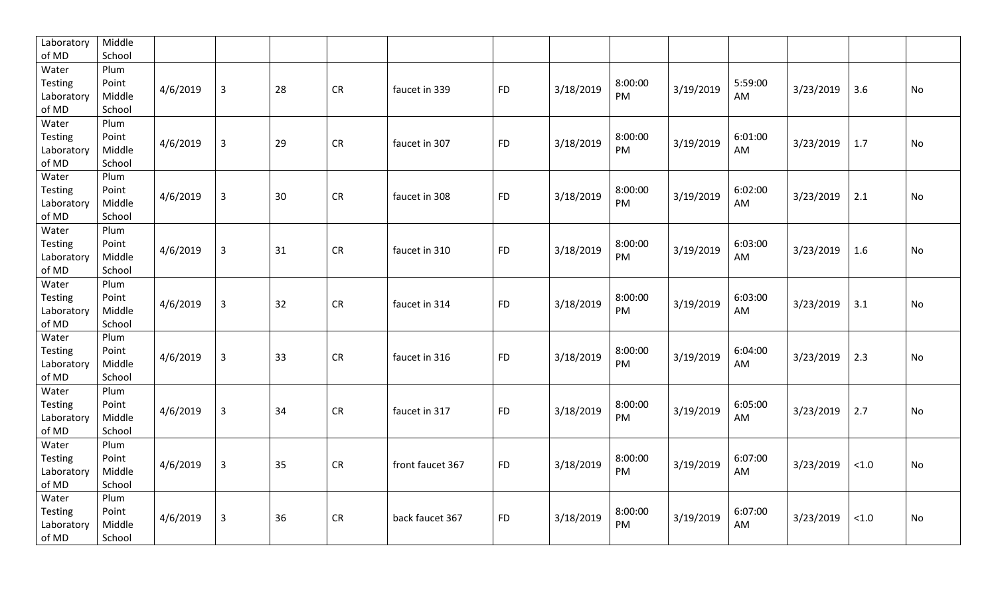| Laboratory | Middle |          |                |    |           |                  |           |           |         |           |         |           |        |           |
|------------|--------|----------|----------------|----|-----------|------------------|-----------|-----------|---------|-----------|---------|-----------|--------|-----------|
| of MD      | School |          |                |    |           |                  |           |           |         |           |         |           |        |           |
| Water      | Plum   |          |                |    |           |                  |           |           |         |           |         |           |        |           |
| Testing    | Point  | 4/6/2019 | $\overline{3}$ | 28 | <b>CR</b> | faucet in 339    | <b>FD</b> | 3/18/2019 | 8:00:00 | 3/19/2019 | 5:59:00 | 3/23/2019 | 3.6    | <b>No</b> |
| Laboratory | Middle |          |                |    |           |                  |           |           | PM      |           | AM      |           |        |           |
| of MD      | School |          |                |    |           |                  |           |           |         |           |         |           |        |           |
| Water      | Plum   |          |                |    |           |                  |           |           |         |           |         |           |        |           |
| Testing    | Point  | 4/6/2019 | $\mathbf{3}$   | 29 | <b>CR</b> | faucet in 307    | <b>FD</b> | 3/18/2019 | 8:00:00 | 3/19/2019 | 6:01:00 | 3/23/2019 | 1.7    | No        |
| Laboratory | Middle |          |                |    |           |                  |           |           | PM      |           | AM      |           |        |           |
| of MD      | School |          |                |    |           |                  |           |           |         |           |         |           |        |           |
| Water      | Plum   |          |                |    |           |                  |           |           |         |           |         |           |        |           |
| Testing    | Point  | 4/6/2019 | $\mathbf{3}$   | 30 | <b>CR</b> | faucet in 308    | <b>FD</b> | 3/18/2019 | 8:00:00 | 3/19/2019 | 6:02:00 | 3/23/2019 | 2.1    | No        |
| Laboratory | Middle |          |                |    |           |                  |           |           | PM      |           | AM      |           |        |           |
| of MD      | School |          |                |    |           |                  |           |           |         |           |         |           |        |           |
| Water      | Plum   |          |                |    |           |                  |           |           |         |           |         |           |        |           |
| Testing    | Point  | 4/6/2019 | $\mathsf{3}$   | 31 | <b>CR</b> | faucet in 310    | <b>FD</b> | 3/18/2019 | 8:00:00 | 3/19/2019 | 6:03:00 | 3/23/2019 | 1.6    | No        |
| Laboratory | Middle |          |                |    |           |                  |           |           | PM      |           | AM      |           |        |           |
| of MD      | School |          |                |    |           |                  |           |           |         |           |         |           |        |           |
| Water      | Plum   |          |                |    |           |                  |           |           |         |           |         |           |        |           |
| Testing    | Point  |          |                |    |           |                  |           |           | 8:00:00 |           | 6:03:00 |           |        |           |
| Laboratory | Middle | 4/6/2019 | $\mathsf{3}$   | 32 | <b>CR</b> | faucet in 314    | <b>FD</b> | 3/18/2019 | PM      | 3/19/2019 | AM      | 3/23/2019 | 3.1    | No        |
| of MD      | School |          |                |    |           |                  |           |           |         |           |         |           |        |           |
| Water      | Plum   |          |                |    |           |                  |           |           |         |           |         |           |        |           |
| Testing    | Point  |          |                |    |           |                  |           |           | 8:00:00 |           | 6:04:00 |           |        |           |
| Laboratory | Middle | 4/6/2019 | $\mathbf{3}$   | 33 | <b>CR</b> | faucet in 316    | <b>FD</b> | 3/18/2019 | PM      | 3/19/2019 | AM      | 3/23/2019 | 2.3    | No        |
| of MD      | School |          |                |    |           |                  |           |           |         |           |         |           |        |           |
| Water      | Plum   |          |                |    |           |                  |           |           |         |           |         |           |        |           |
| Testing    | Point  | 4/6/2019 | $\overline{3}$ | 34 | <b>CR</b> | faucet in 317    | <b>FD</b> |           | 8:00:00 | 3/19/2019 | 6:05:00 |           | 2.7    | <b>No</b> |
| Laboratory | Middle |          |                |    |           |                  |           | 3/18/2019 | PM      |           | AM      | 3/23/2019 |        |           |
| of MD      | School |          |                |    |           |                  |           |           |         |           |         |           |        |           |
| Water      | Plum   |          |                |    |           |                  |           |           |         |           |         |           |        |           |
| Testing    | Point  | 4/6/2019 |                | 35 | <b>CR</b> |                  | <b>FD</b> | 3/18/2019 | 8:00:00 | 3/19/2019 | 6:07:00 |           | < 1.0  | No        |
| Laboratory | Middle |          | $\mathsf{3}$   |    |           | front faucet 367 |           |           | PM      |           | AM      | 3/23/2019 |        |           |
| of MD      | School |          |                |    |           |                  |           |           |         |           |         |           |        |           |
| Water      | Plum   |          |                |    |           |                  |           |           |         |           |         |           |        |           |
| Testing    | Point  |          |                |    |           |                  |           |           | 8:00:00 | 3/19/2019 | 6:07:00 |           |        |           |
| Laboratory | Middle | 4/6/2019 | $\mathsf{3}$   | 36 | <b>CR</b> | back faucet 367  | <b>FD</b> | 3/18/2019 | PM      |           | AM      | 3/23/2019 | $<1.0$ | <b>No</b> |
| of MD      | School |          |                |    |           |                  |           |           |         |           |         |           |        |           |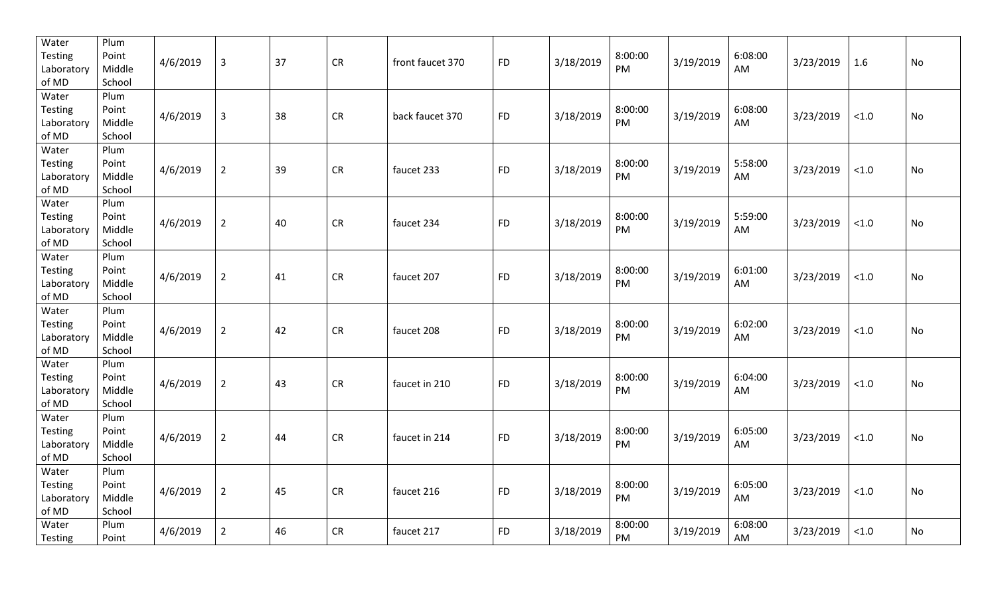| Water<br>Testing<br>Laboratory<br>of MD | Plum<br>Point<br>Middle<br>School | 4/6/2019 | $\overline{3}$ | 37 | CR         | front faucet 370 | <b>FD</b> | 3/18/2019 | 8:00:00<br>PM | 3/19/2019 | 6:08:00<br>AM | 3/23/2019 | 1.6    | No        |
|-----------------------------------------|-----------------------------------|----------|----------------|----|------------|------------------|-----------|-----------|---------------|-----------|---------------|-----------|--------|-----------|
| Water<br>Testing<br>Laboratory<br>of MD | Plum<br>Point<br>Middle<br>School | 4/6/2019 | $\overline{3}$ | 38 | CR         | back faucet 370  | <b>FD</b> | 3/18/2019 | 8:00:00<br>PM | 3/19/2019 | 6:08:00<br>AM | 3/23/2019 | $<1.0$ | No        |
| Water<br>Testing<br>Laboratory<br>of MD | Plum<br>Point<br>Middle<br>School | 4/6/2019 | $\overline{2}$ | 39 | CR         | faucet 233       | <b>FD</b> | 3/18/2019 | 8:00:00<br>PM | 3/19/2019 | 5:58:00<br>AM | 3/23/2019 | $<1.0$ | No        |
| Water<br>Testing<br>Laboratory<br>of MD | Plum<br>Point<br>Middle<br>School | 4/6/2019 | $\overline{2}$ | 40 | CR         | faucet 234       | <b>FD</b> | 3/18/2019 | 8:00:00<br>PM | 3/19/2019 | 5:59:00<br>AM | 3/23/2019 | < 1.0  | No        |
| Water<br>Testing<br>Laboratory<br>of MD | Plum<br>Point<br>Middle<br>School | 4/6/2019 | $\overline{2}$ | 41 | CR         | faucet 207       | <b>FD</b> | 3/18/2019 | 8:00:00<br>PM | 3/19/2019 | 6:01:00<br>AM | 3/23/2019 | $<1.0$ | No        |
| Water<br>Testing<br>Laboratory<br>of MD | Plum<br>Point<br>Middle<br>School | 4/6/2019 | $\overline{2}$ | 42 | ${\sf CR}$ | faucet 208       | <b>FD</b> | 3/18/2019 | 8:00:00<br>PM | 3/19/2019 | 6:02:00<br>AM | 3/23/2019 | < 1.0  | No        |
| Water<br>Testing<br>Laboratory<br>of MD | Plum<br>Point<br>Middle<br>School | 4/6/2019 | $\overline{2}$ | 43 | <b>CR</b>  | faucet in 210    | <b>FD</b> | 3/18/2019 | 8:00:00<br>PM | 3/19/2019 | 6:04:00<br>AM | 3/23/2019 | < 1.0  | No        |
| Water<br>Testing<br>Laboratory<br>of MD | Plum<br>Point<br>Middle<br>School | 4/6/2019 | $\overline{2}$ | 44 | ${\sf CR}$ | faucet in 214    | <b>FD</b> | 3/18/2019 | 8:00:00<br>PM | 3/19/2019 | 6:05:00<br>AM | 3/23/2019 | < 1.0  | <b>No</b> |
| Water<br>Testing<br>Laboratory<br>of MD | Plum<br>Point<br>Middle<br>School | 4/6/2019 | $\overline{2}$ | 45 | ${\sf CR}$ | faucet 216       | <b>FD</b> | 3/18/2019 | 8:00:00<br>PM | 3/19/2019 | 6:05:00<br>AM | 3/23/2019 | $<1.0$ | No        |
| Water<br>Testing                        | Plum<br>Point                     | 4/6/2019 | $\overline{2}$ | 46 | CR         | faucet 217       | <b>FD</b> | 3/18/2019 | 8:00:00<br>PM | 3/19/2019 | 6:08:00<br>AM | 3/23/2019 | < 1.0  | No        |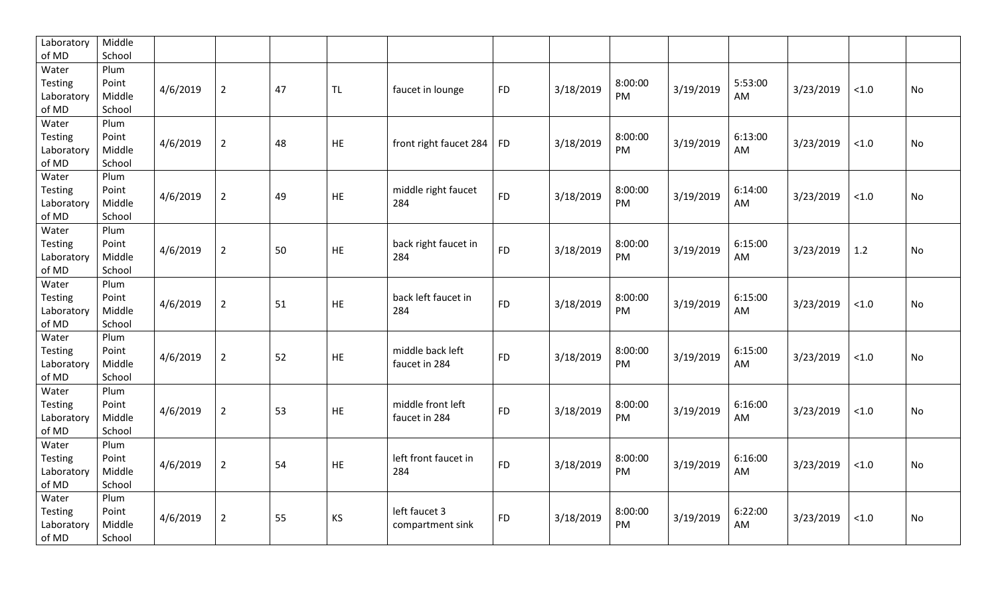| of MD<br>School                                                                                                                                                                |           |
|--------------------------------------------------------------------------------------------------------------------------------------------------------------------------------|-----------|
|                                                                                                                                                                                |           |
| Water<br>Plum                                                                                                                                                                  |           |
| 8:00:00<br>5:53:00<br>Point<br>Testing<br>3/18/2019<br>4/6/2019<br>$\overline{2}$<br>3/19/2019<br>3/23/2019<br>47<br><b>TL</b><br><b>FD</b><br>faucet in lounge<br>< 1.0       | <b>No</b> |
| PM<br>Middle<br>AM<br>Laboratory                                                                                                                                               |           |
| of MD<br>School                                                                                                                                                                |           |
| Water<br>Plum                                                                                                                                                                  |           |
| Testing<br>Point<br>8:00:00<br>6:13:00<br>4/6/2019<br>3/18/2019<br>3/19/2019<br>3/23/2019<br>$\overline{2}$<br>48<br><b>HE</b><br>front right faucet 284<br><b>FD</b><br>< 1.0 | <b>No</b> |
| <b>PM</b><br>Middle<br>AM<br>Laboratory                                                                                                                                        |           |
| of MD<br>School                                                                                                                                                                |           |
| Water<br>Plum                                                                                                                                                                  |           |
| 8:00:00<br>Testing<br>Point<br>middle right faucet<br>6:14:00<br><b>FD</b><br>3/19/2019<br>3/23/2019<br>4/6/2019<br>$\overline{2}$<br>49<br>HE<br>< 1.0                        | No        |
| 3/18/2019<br>PM<br>Middle<br>284<br>AM<br>Laboratory                                                                                                                           |           |
| of MD<br>School                                                                                                                                                                |           |
| Water<br>Plum                                                                                                                                                                  |           |
| 8:00:00<br>6:15:00<br>back right faucet in<br>Testing<br>Point<br><b>FD</b><br>4/6/2019<br>50<br><b>HE</b>                                                                     |           |
| 3/18/2019<br>$\overline{2}$<br>3/19/2019<br>3/23/2019<br>1.2<br>PM<br>Middle<br>284<br>AM<br>Laboratory                                                                        | No        |
| of MD<br>School                                                                                                                                                                |           |
| Water<br>Plum                                                                                                                                                                  |           |
| 8:00:00<br>back left faucet in<br>6:15:00<br>Testing<br>Point                                                                                                                  |           |
| $\overline{2}$<br>HE<br><b>FD</b><br>3/18/2019<br>4/6/2019<br>51<br>3/19/2019<br>3/23/2019<br>< 1.0<br>284<br>PM<br>Laboratory<br>Middle<br>AM                                 | No        |
| of MD<br>School                                                                                                                                                                |           |
| Water<br>Plum                                                                                                                                                                  |           |
| 8:00:00<br>middle back left<br>6:15:00<br><b>Testing</b><br>Point                                                                                                              |           |
| 52<br>3/18/2019<br>3/19/2019<br>3/23/2019<br>4/6/2019<br>$\overline{2}$<br><b>HE</b><br><b>FD</b><br>< 1.0<br>PM<br>Middle<br>faucet in 284<br>AM<br>Laboratory                | <b>No</b> |
| of MD<br>School                                                                                                                                                                |           |
| Water<br>Plum                                                                                                                                                                  |           |
| middle front left<br>8:00:00<br>6:16:00<br>Testing<br>Point                                                                                                                    |           |
| $\overline{2}$<br>53<br><b>FD</b><br>3/18/2019<br>3/19/2019<br>3/23/2019<br>4/6/2019<br>HE<br>< 1.0<br>PM<br>Laboratory<br>Middle<br>faucet in 284<br>AM                       | <b>No</b> |
| of MD<br>School                                                                                                                                                                |           |
| Water<br>Plum                                                                                                                                                                  |           |
| 8:00:00<br>6:16:00<br>left front faucet in<br>Testing<br>Point                                                                                                                 |           |
| $\overline{2}$<br>54<br>3/18/2019<br>3/19/2019<br>4/6/2019<br>HE<br><b>FD</b><br>3/23/2019<br>< 1.0<br>284<br>PM<br>Middle<br>AM<br>Laboratory                                 | No        |
| of MD<br>School                                                                                                                                                                |           |
| Water<br>Plum                                                                                                                                                                  |           |
| left faucet 3<br>6:22:00<br>8:00:00<br>Testing<br>Point                                                                                                                        |           |
| 3/18/2019<br>3/19/2019<br>4/6/2019<br>$\overline{2}$<br>55<br>KS<br><b>FD</b><br>3/23/2019<br>< 1.0<br>PM<br>AM<br>Middle<br>Laboratory<br>compartment sink                    | <b>No</b> |
| of MD<br>School                                                                                                                                                                |           |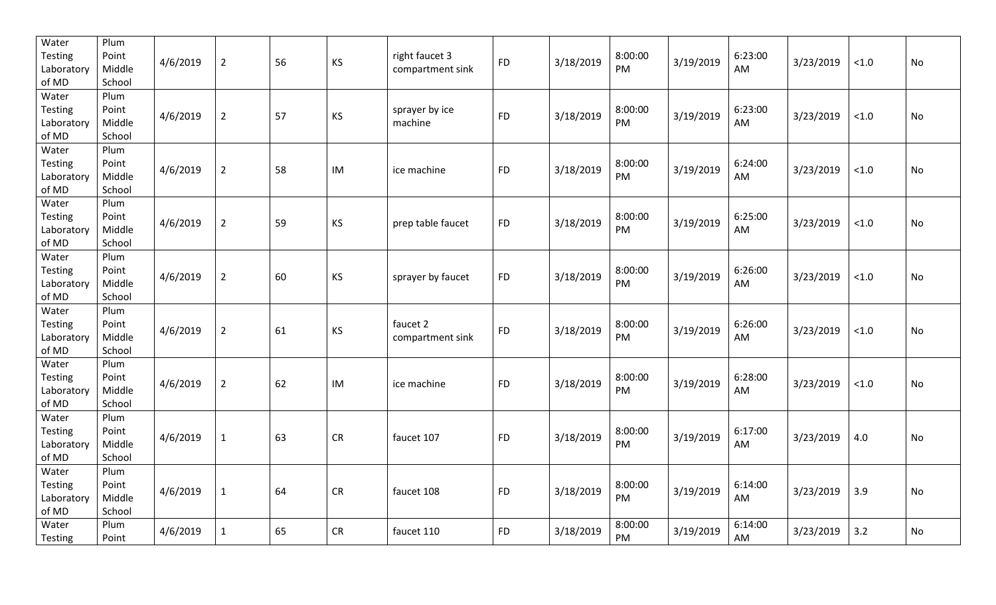| Water<br>Testing<br>Laboratory<br>of MD | Plum<br>Point<br>Middle<br>School | 4/6/2019 | $\overline{2}$ | 56 | <b>KS</b>  | right faucet 3<br>compartment sink | <b>FD</b> | 3/18/2019 | 8:00:00<br>PM | 3/19/2019 | 6:23:00<br>AM | 3/23/2019 | $<1.0$ | No        |
|-----------------------------------------|-----------------------------------|----------|----------------|----|------------|------------------------------------|-----------|-----------|---------------|-----------|---------------|-----------|--------|-----------|
| Water<br>Testing<br>Laboratory<br>of MD | Plum<br>Point<br>Middle<br>School | 4/6/2019 | $\overline{2}$ | 57 | KS         | sprayer by ice<br>machine          | <b>FD</b> | 3/18/2019 | 8:00:00<br>PM | 3/19/2019 | 6:23:00<br>AM | 3/23/2019 | $<1.0$ | No        |
| Water<br>Testing<br>Laboratory<br>of MD | Plum<br>Point<br>Middle<br>School | 4/6/2019 | $\overline{2}$ | 58 | IM         | ice machine                        | <b>FD</b> | 3/18/2019 | 8:00:00<br>PM | 3/19/2019 | 6:24:00<br>AM | 3/23/2019 | $<1.0$ | No        |
| Water<br>Testing<br>Laboratory<br>of MD | Plum<br>Point<br>Middle<br>School | 4/6/2019 | $\overline{2}$ | 59 | <b>KS</b>  | prep table faucet                  | <b>FD</b> | 3/18/2019 | 8:00:00<br>PM | 3/19/2019 | 6:25:00<br>AM | 3/23/2019 | $<1.0$ | No        |
| Water<br>Testing<br>Laboratory<br>of MD | Plum<br>Point<br>Middle<br>School | 4/6/2019 | $\overline{2}$ | 60 | <b>KS</b>  | sprayer by faucet                  | <b>FD</b> | 3/18/2019 | 8:00:00<br>PM | 3/19/2019 | 6:26:00<br>AM | 3/23/2019 | $<1.0$ | No        |
| Water<br>Testing<br>Laboratory<br>of MD | Plum<br>Point<br>Middle<br>School | 4/6/2019 | $\overline{2}$ | 61 | KS         | faucet 2<br>compartment sink       | <b>FD</b> | 3/18/2019 | 8:00:00<br>PM | 3/19/2019 | 6:26:00<br>AM | 3/23/2019 | < 1.0  | No        |
| Water<br>Testing<br>Laboratory<br>of MD | Plum<br>Point<br>Middle<br>School | 4/6/2019 | $\overline{2}$ | 62 | IM         | ice machine                        | <b>FD</b> | 3/18/2019 | 8:00:00<br>PM | 3/19/2019 | 6:28:00<br>AM | 3/23/2019 | < 1.0  | No        |
| Water<br>Testing<br>Laboratory<br>of MD | Plum<br>Point<br>Middle<br>School | 4/6/2019 | $\mathbf 1$    | 63 | ${\sf CR}$ | faucet 107                         | <b>FD</b> | 3/18/2019 | 8:00:00<br>PM | 3/19/2019 | 6:17:00<br>AM | 3/23/2019 | 4.0    | <b>No</b> |
| Water<br>Testing<br>Laboratory<br>of MD | Plum<br>Point<br>Middle<br>School | 4/6/2019 | $\mathbf 1$    | 64 | ${\sf CR}$ | faucet 108                         | <b>FD</b> | 3/18/2019 | 8:00:00<br>PM | 3/19/2019 | 6:14:00<br>AM | 3/23/2019 | 3.9    | No        |
| Water<br>Testing                        | Plum<br>Point                     | 4/6/2019 | $\mathbf{1}$   | 65 | CR         | faucet 110                         | <b>FD</b> | 3/18/2019 | 8:00:00<br>PM | 3/19/2019 | 6:14:00<br>AM | 3/23/2019 | 3.2    | <b>No</b> |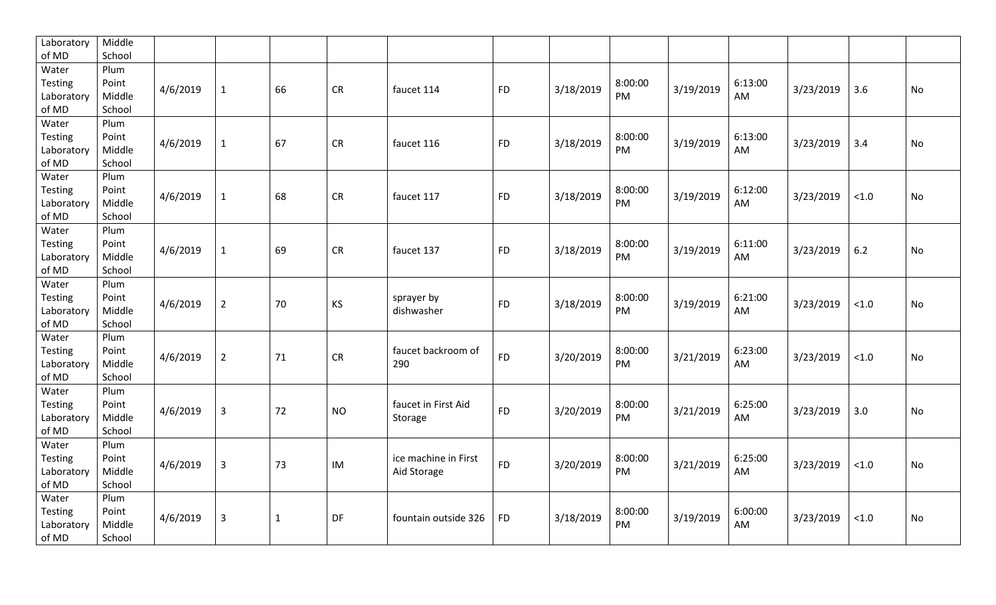| Laboratory          | Middle           |          |                |              |           |                      |           |           |               |           |         |           |       |           |
|---------------------|------------------|----------|----------------|--------------|-----------|----------------------|-----------|-----------|---------------|-----------|---------|-----------|-------|-----------|
| of MD               | School           |          |                |              |           |                      |           |           |               |           |         |           |       |           |
| Water               | Plum             |          |                |              |           |                      |           |           |               |           |         |           |       |           |
| Testing             | Point            | 4/6/2019 | $\mathbf{1}$   | 66           | <b>CR</b> | faucet 114           | <b>FD</b> | 3/18/2019 | 8:00:00       | 3/19/2019 | 6:13:00 | 3/23/2019 | 3.6   | <b>No</b> |
| Laboratory          | Middle           |          |                |              |           |                      |           |           | PM            |           | AM      |           |       |           |
| of MD               | School           |          |                |              |           |                      |           |           |               |           |         |           |       |           |
| Water               | Plum             |          |                |              |           |                      |           |           |               |           |         |           |       |           |
| <b>Testing</b>      | Point            | 4/6/2019 | $\mathbf{1}$   | 67           | <b>CR</b> | faucet 116           | <b>FD</b> | 3/18/2019 | 8:00:00<br>PM | 3/19/2019 | 6:13:00 | 3/23/2019 | 3.4   | <b>No</b> |
| Laboratory<br>of MD | Middle<br>School |          |                |              |           |                      |           |           |               |           | AM      |           |       |           |
| Water               | Plum             |          |                |              |           |                      |           |           |               |           |         |           |       |           |
| <b>Testing</b>      | Point            |          |                |              |           |                      |           |           | 8:00:00       |           | 6:12:00 |           |       |           |
| Laboratory          | Middle           | 4/6/2019 | $\mathbf{1}$   | 68           | <b>CR</b> | faucet 117           | <b>FD</b> | 3/18/2019 | PM            | 3/19/2019 | AM      | 3/23/2019 | < 1.0 | No        |
| of MD               | School           |          |                |              |           |                      |           |           |               |           |         |           |       |           |
| Water               | Plum             |          |                |              |           |                      |           |           |               |           |         |           |       |           |
| Testing             | Point            |          |                |              |           |                      |           |           | 8:00:00       |           | 6:11:00 |           |       |           |
| Laboratory          | Middle           | 4/6/2019 | $\mathbf{1}$   | 69           | <b>CR</b> | faucet 137           | <b>FD</b> | 3/18/2019 | PM            | 3/19/2019 | AM      | 3/23/2019 | 6.2   | No        |
| of MD               | School           |          |                |              |           |                      |           |           |               |           |         |           |       |           |
| Water               | Plum             |          |                |              |           |                      |           |           |               |           |         |           |       |           |
| Testing             | Point            |          |                |              |           | sprayer by           |           |           | 8:00:00       |           | 6:21:00 |           |       |           |
| Laboratory          | Middle           | 4/6/2019 | $\overline{2}$ | 70           | KS        | dishwasher           | <b>FD</b> | 3/18/2019 | PM            | 3/19/2019 | AM      | 3/23/2019 | < 1.0 | No        |
| of MD               | School           |          |                |              |           |                      |           |           |               |           |         |           |       |           |
| Water               | Plum             |          |                |              |           |                      |           |           |               |           |         |           |       |           |
| <b>Testing</b>      | Point            |          |                |              |           | faucet backroom of   |           |           | 8:00:00       |           | 6:23:00 |           |       |           |
| Laboratory          | Middle           | 4/6/2019 | $\overline{2}$ | 71           | CR        | 290                  | <b>FD</b> | 3/20/2019 | PM            | 3/21/2019 | AM      | 3/23/2019 | < 1.0 | No        |
| of MD               | School           |          |                |              |           |                      |           |           |               |           |         |           |       |           |
| Water               | Plum             |          |                |              |           |                      |           |           |               |           |         |           |       |           |
| <b>Testing</b>      | Point            | 4/6/2019 | $\overline{3}$ | 72           | <b>NO</b> | faucet in First Aid  | <b>FD</b> | 3/20/2019 | 8:00:00       | 3/21/2019 | 6:25:00 | 3/23/2019 | 3.0   | <b>No</b> |
| Laboratory          | Middle           |          |                |              |           | Storage              |           |           | PM            |           | AM      |           |       |           |
| of MD               | School           |          |                |              |           |                      |           |           |               |           |         |           |       |           |
| Water               | Plum             |          |                |              |           |                      |           |           |               |           |         |           |       |           |
| Testing             | Point            | 4/6/2019 | $\overline{3}$ | 73           | IM        | ice machine in First | <b>FD</b> | 3/20/2019 | 8:00:00       | 3/21/2019 | 6:25:00 | 3/23/2019 | < 1.0 | <b>No</b> |
| Laboratory          | Middle           |          |                |              |           | Aid Storage          |           |           | PM            |           | AM      |           |       |           |
| of MD               | School           |          |                |              |           |                      |           |           |               |           |         |           |       |           |
| Water               | Plum             |          |                |              |           |                      |           |           |               |           |         |           |       |           |
| <b>Testing</b>      | Point            | 4/6/2019 | $\mathbf{3}$   | $\mathbf{1}$ | DF        | fountain outside 326 | <b>FD</b> | 3/18/2019 | 8:00:00       | 3/19/2019 | 6:00:00 | 3/23/2019 | < 1.0 | <b>No</b> |
| Laboratory          | Middle           |          |                |              |           |                      |           |           | <b>PM</b>     |           | AM      |           |       |           |
| of MD               | School           |          |                |              |           |                      |           |           |               |           |         |           |       |           |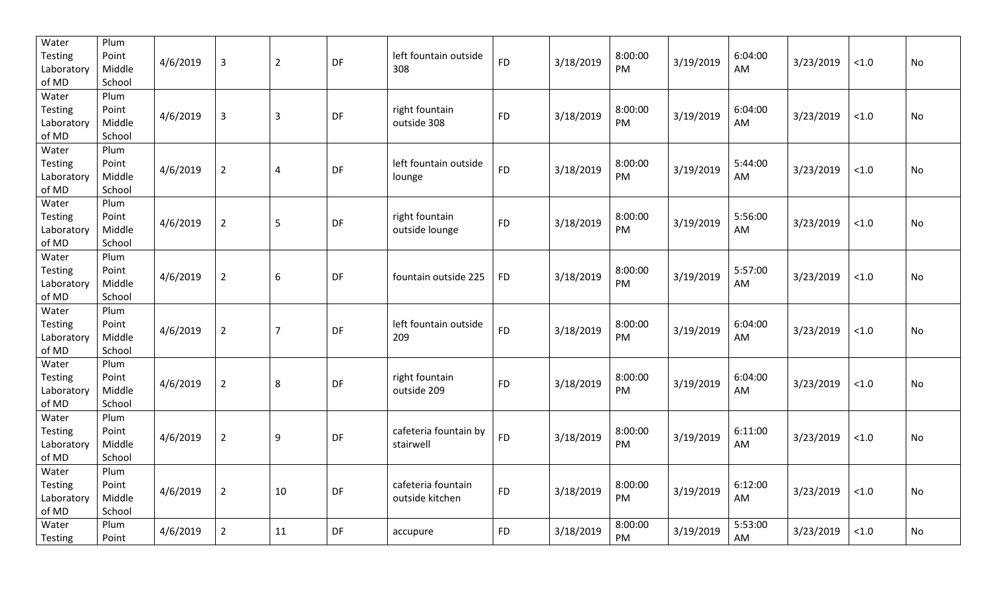| Water<br><b>Testing</b><br>Laboratory<br>of MD | Plum<br>Point<br>Middle<br>School | 4/6/2019 | $\overline{3}$ | $\overline{2}$ | DF | left fountain outside<br>308          | <b>FD</b> | 3/18/2019 | 8:00:00<br>PM        | 3/19/2019 | 6:04:00<br>AM | 3/23/2019 | < 1.0  | No        |
|------------------------------------------------|-----------------------------------|----------|----------------|----------------|----|---------------------------------------|-----------|-----------|----------------------|-----------|---------------|-----------|--------|-----------|
| Water<br>Testing<br>Laboratory<br>of MD        | Plum<br>Point<br>Middle<br>School | 4/6/2019 | $\overline{3}$ | $\overline{3}$ | DF | right fountain<br>outside 308         | <b>FD</b> | 3/18/2019 | 8:00:00<br><b>PM</b> | 3/19/2019 | 6:04:00<br>AM | 3/23/2019 | $<1.0$ | <b>No</b> |
| Water<br><b>Testing</b><br>Laboratory<br>of MD | Plum<br>Point<br>Middle<br>School | 4/6/2019 | $\overline{2}$ | $\overline{4}$ | DF | left fountain outside<br>lounge       | <b>FD</b> | 3/18/2019 | 8:00:00<br>PM        | 3/19/2019 | 5:44:00<br>AM | 3/23/2019 | $<1.0$ | No        |
| Water<br><b>Testing</b><br>Laboratory<br>of MD | Plum<br>Point<br>Middle<br>School | 4/6/2019 | $\overline{2}$ | 5              | DF | right fountain<br>outside lounge      | <b>FD</b> | 3/18/2019 | 8:00:00<br>PM        | 3/19/2019 | 5:56:00<br>AM | 3/23/2019 | < 1.0  | No        |
| Water<br><b>Testing</b><br>Laboratory<br>of MD | Plum<br>Point<br>Middle<br>School | 4/6/2019 | $\overline{2}$ | 6              | DF | fountain outside 225                  | <b>FD</b> | 3/18/2019 | 8:00:00<br>PM        | 3/19/2019 | 5:57:00<br>AM | 3/23/2019 | $<1.0$ | No        |
| Water<br><b>Testing</b><br>Laboratory<br>of MD | Plum<br>Point<br>Middle<br>School | 4/6/2019 | $\overline{2}$ | $\overline{7}$ | DF | left fountain outside<br>209          | <b>FD</b> | 3/18/2019 | 8:00:00<br><b>PM</b> | 3/19/2019 | 6:04:00<br>AM | 3/23/2019 | < 1.0  | <b>No</b> |
| Water<br>Testing<br>Laboratory<br>of MD        | Plum<br>Point<br>Middle<br>School | 4/6/2019 | $\overline{2}$ | 8              | DF | right fountain<br>outside 209         | <b>FD</b> | 3/18/2019 | 8:00:00<br>PM        | 3/19/2019 | 6:04:00<br>AM | 3/23/2019 | < 1.0  | <b>No</b> |
| Water<br>Testing<br>Laboratory<br>of MD        | Plum<br>Point<br>Middle<br>School | 4/6/2019 | $\overline{2}$ | 9              | DF | cafeteria fountain by<br>stairwell    | <b>FD</b> | 3/18/2019 | 8:00:00<br>PM        | 3/19/2019 | 6:11:00<br>AM | 3/23/2019 | < 1.0  | <b>No</b> |
| Water<br>Testing<br>Laboratory<br>of MD        | Plum<br>Point<br>Middle<br>School | 4/6/2019 | $\overline{2}$ | 10             | DF | cafeteria fountain<br>outside kitchen | <b>FD</b> | 3/18/2019 | 8:00:00<br>PM        | 3/19/2019 | 6:12:00<br>AM | 3/23/2019 | $<1.0$ | <b>No</b> |
| Water<br>Testing                               | Plum<br>Point                     | 4/6/2019 | $\overline{2}$ | 11             | DF | accupure                              | <b>FD</b> | 3/18/2019 | 8:00:00<br>PM        | 3/19/2019 | 5:53:00<br>AM | 3/23/2019 | < 1.0  | <b>No</b> |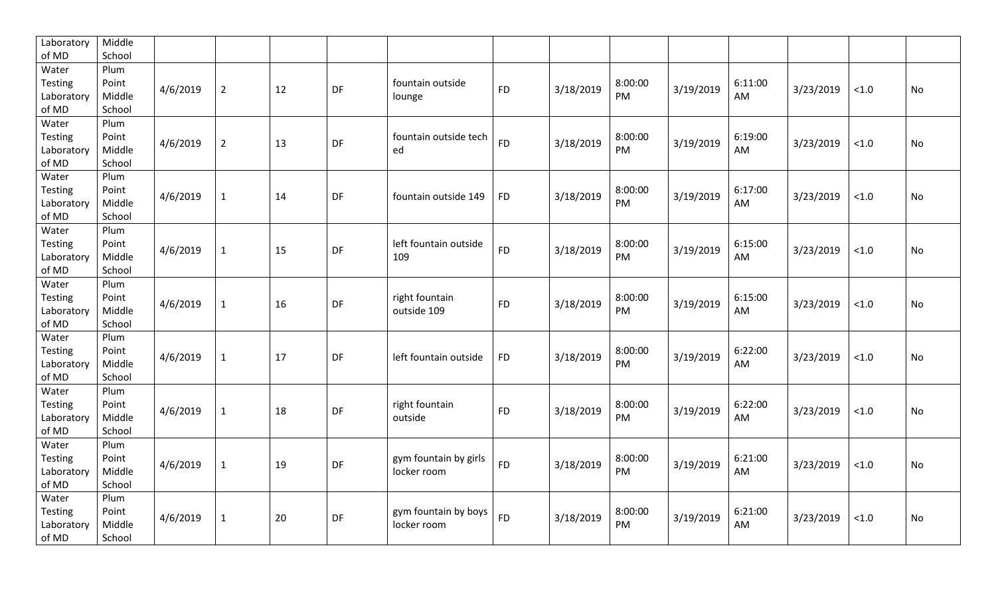| Laboratory     | Middle |          |                |    |    |                       |           |           |         |           |         |           |        |           |
|----------------|--------|----------|----------------|----|----|-----------------------|-----------|-----------|---------|-----------|---------|-----------|--------|-----------|
| of MD          | School |          |                |    |    |                       |           |           |         |           |         |           |        |           |
| Water          | Plum   |          |                |    |    |                       |           |           |         |           |         |           |        |           |
| <b>Testing</b> | Point  | 4/6/2019 | $\overline{2}$ | 12 | DF | fountain outside      | <b>FD</b> | 3/18/2019 | 8:00:00 | 3/19/2019 | 6:11:00 | 3/23/2019 | < 1.0  | No        |
| Laboratory     | Middle |          |                |    |    | lounge                |           |           | PM      |           | AM      |           |        |           |
| of MD          | School |          |                |    |    |                       |           |           |         |           |         |           |        |           |
| Water          | Plum   |          |                |    |    |                       |           |           |         |           |         |           |        |           |
| <b>Testing</b> | Point  | 4/6/2019 | $\overline{2}$ | 13 | DF | fountain outside tech | <b>FD</b> | 3/18/2019 | 8:00:00 | 3/19/2019 | 6:19:00 | 3/23/2019 | < 1.0  | No        |
| Laboratory     | Middle |          |                |    |    | ed                    |           |           | PM      |           | AM      |           |        |           |
| of MD          | School |          |                |    |    |                       |           |           |         |           |         |           |        |           |
| Water          | Plum   |          |                |    |    |                       |           |           |         |           |         |           |        |           |
| Testing        | Point  | 4/6/2019 |                | 14 | DF |                       | <b>FD</b> | 3/18/2019 | 8:00:00 | 3/19/2019 | 6:17:00 | 3/23/2019 | $<1.0$ | No        |
| Laboratory     | Middle |          | $\mathbf{1}$   |    |    | fountain outside 149  |           |           | PM      |           | AM      |           |        |           |
| of MD          | School |          |                |    |    |                       |           |           |         |           |         |           |        |           |
| Water          | Plum   |          |                |    |    |                       |           |           |         |           |         |           |        |           |
| <b>Testing</b> | Point  | 4/6/2019 |                | 15 | DF | left fountain outside | <b>FD</b> | 3/18/2019 | 8:00:00 | 3/19/2019 | 6:15:00 |           |        | No        |
| Laboratory     | Middle |          | $\mathbf{1}$   |    |    | 109                   |           |           | PM      |           | AM      | 3/23/2019 | < 1.0  |           |
| of MD          | School |          |                |    |    |                       |           |           |         |           |         |           |        |           |
| Water          | Plum   |          |                |    |    |                       |           |           |         |           |         |           |        |           |
| <b>Testing</b> | Point  |          |                |    |    | right fountain        |           |           | 8:00:00 |           | 6:15:00 |           |        |           |
| Laboratory     | Middle | 4/6/2019 | $\mathbf{1}$   | 16 | DF | outside 109           | <b>FD</b> | 3/18/2019 | PM      | 3/19/2019 | AM      | 3/23/2019 | < 1.0  | No        |
| of MD          | School |          |                |    |    |                       |           |           |         |           |         |           |        |           |
| Water          | Plum   |          |                |    |    |                       |           |           |         |           |         |           |        |           |
| <b>Testing</b> | Point  |          |                |    |    |                       |           |           | 8:00:00 |           | 6:22:00 |           |        |           |
| Laboratory     | Middle | 4/6/2019 | $\mathbf{1}$   | 17 | DF | left fountain outside | <b>FD</b> | 3/18/2019 | PM      | 3/19/2019 | AM      | 3/23/2019 | < 1.0  | No        |
| of MD          | School |          |                |    |    |                       |           |           |         |           |         |           |        |           |
| Water          | Plum   |          |                |    |    |                       |           |           |         |           |         |           |        |           |
| Testing        | Point  |          |                |    |    | right fountain        |           |           | 8:00:00 |           | 6:22:00 |           |        |           |
| Laboratory     | Middle | 4/6/2019 | $\mathbf{1}$   | 18 | DF | outside               | <b>FD</b> | 3/18/2019 | PM      | 3/19/2019 | AM      | 3/23/2019 | < 1.0  | <b>No</b> |
| of MD          | School |          |                |    |    |                       |           |           |         |           |         |           |        |           |
| Water          | Plum   |          |                |    |    |                       |           |           |         |           |         |           |        |           |
| Testing        | Point  |          |                |    |    | gym fountain by girls |           |           | 8:00:00 |           | 6:21:00 |           |        |           |
| Laboratory     | Middle | 4/6/2019 | $\mathbf{1}$   | 19 | DF | locker room           | <b>FD</b> | 3/18/2019 | PM      | 3/19/2019 | AM      | 3/23/2019 | < 1.0  | No        |
| of MD          | School |          |                |    |    |                       |           |           |         |           |         |           |        |           |
| Water          | Plum   |          |                |    |    |                       |           |           |         |           |         |           |        |           |
| <b>Testing</b> | Point  |          |                |    |    | gym fountain by boys  |           |           | 8:00:00 |           | 6:21:00 |           |        |           |
| Laboratory     | Middle | 4/6/2019 | $\mathbf{1}$   | 20 | DF | locker room           | <b>FD</b> | 3/18/2019 | PM      | 3/19/2019 | AM      | 3/23/2019 | $<1.0$ | <b>No</b> |
| of MD          | School |          |                |    |    |                       |           |           |         |           |         |           |        |           |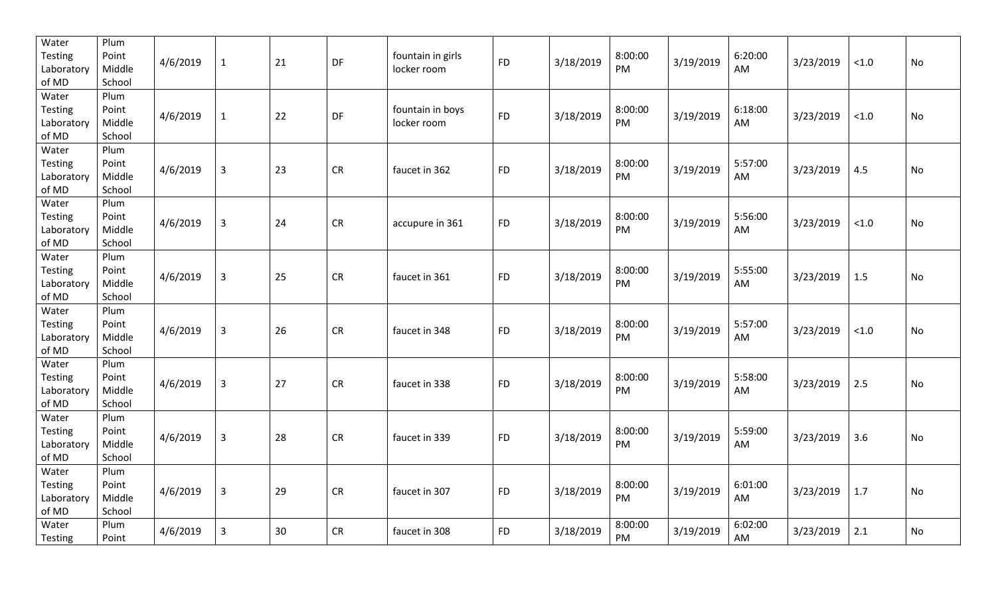| Water<br>Testing<br>Laboratory<br>of MD        | Plum<br>Point<br>Middle<br>School | 4/6/2019 | $\mathbf 1$    | 21 | DF         | fountain in girls<br>locker room | <b>FD</b> | 3/18/2019 | 8:00:00<br>PM | 3/19/2019 | 6:20:00<br>AM | 3/23/2019 | $<1.0$ | No |
|------------------------------------------------|-----------------------------------|----------|----------------|----|------------|----------------------------------|-----------|-----------|---------------|-----------|---------------|-----------|--------|----|
| Water<br>Testing<br>Laboratory<br>of MD        | Plum<br>Point<br>Middle<br>School | 4/6/2019 | $\mathbf{1}$   | 22 | DF         | fountain in boys<br>locker room  | <b>FD</b> | 3/18/2019 | 8:00:00<br>PM | 3/19/2019 | 6:18:00<br>AM | 3/23/2019 | < 1.0  | No |
| Water<br>Testing<br>Laboratory<br>of MD        | Plum<br>Point<br>Middle<br>School | 4/6/2019 | $\mathbf{3}$   | 23 | ${\sf CR}$ | faucet in 362                    | <b>FD</b> | 3/18/2019 | 8:00:00<br>PM | 3/19/2019 | 5:57:00<br>AM | 3/23/2019 | 4.5    | No |
| Water<br>Testing<br>Laboratory<br>of MD        | Plum<br>Point<br>Middle<br>School | 4/6/2019 | $\mathbf{3}$   | 24 | ${\sf CR}$ | accupure in 361                  | <b>FD</b> | 3/18/2019 | 8:00:00<br>PM | 3/19/2019 | 5:56:00<br>AM | 3/23/2019 | $<1.0$ | No |
| Water<br>Testing<br>Laboratory<br>of MD        | Plum<br>Point<br>Middle<br>School | 4/6/2019 | $\mathbf{3}$   | 25 | ${\sf CR}$ | faucet in 361                    | <b>FD</b> | 3/18/2019 | 8:00:00<br>PM | 3/19/2019 | 5:55:00<br>AM | 3/23/2019 | 1.5    | No |
| Water<br><b>Testing</b><br>Laboratory<br>of MD | Plum<br>Point<br>Middle<br>School | 4/6/2019 | $\mathbf{3}$   | 26 | CR         | faucet in 348                    | <b>FD</b> | 3/18/2019 | 8:00:00<br>PM | 3/19/2019 | 5:57:00<br>AM | 3/23/2019 | $<1.0$ | No |
| Water<br><b>Testing</b><br>Laboratory<br>of MD | Plum<br>Point<br>Middle<br>School | 4/6/2019 | $\overline{3}$ | 27 | CR         | faucet in 338                    | <b>FD</b> | 3/18/2019 | 8:00:00<br>PM | 3/19/2019 | 5:58:00<br>AM | 3/23/2019 | 2.5    | No |
| Water<br>Testing<br>Laboratory<br>of MD        | Plum<br>Point<br>Middle<br>School | 4/6/2019 | $\overline{3}$ | 28 | CR         | faucet in 339                    | <b>FD</b> | 3/18/2019 | 8:00:00<br>PM | 3/19/2019 | 5:59:00<br>AM | 3/23/2019 | 3.6    | No |
| Water<br>Testing<br>Laboratory<br>of MD        | Plum<br>Point<br>Middle<br>School | 4/6/2019 | $\overline{3}$ | 29 | ${\sf CR}$ | faucet in 307                    | <b>FD</b> | 3/18/2019 | 8:00:00<br>PM | 3/19/2019 | 6:01:00<br>AM | 3/23/2019 | $1.7$  | No |
| Water<br>Testing                               | Plum<br>Point                     | 4/6/2019 | $\overline{3}$ | 30 | CR         | faucet in 308                    | <b>FD</b> | 3/18/2019 | 8:00:00<br>PM | 3/19/2019 | 6:02:00<br>AM | 3/23/2019 | 2.1    | No |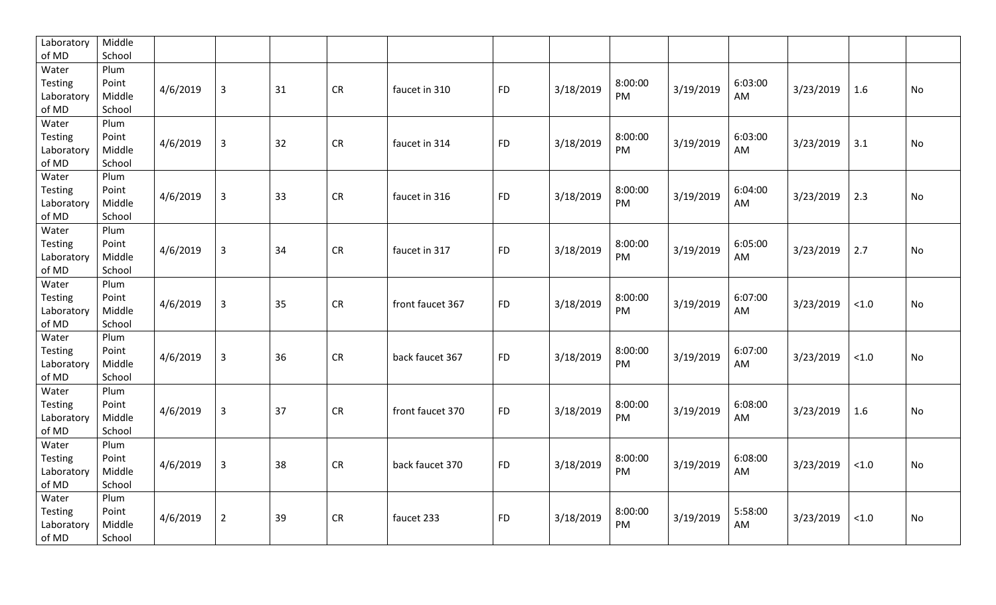| Laboratory | Middle |          |                |    |           |                  |           |           |         |           |         |           |        |           |
|------------|--------|----------|----------------|----|-----------|------------------|-----------|-----------|---------|-----------|---------|-----------|--------|-----------|
| of MD      | School |          |                |    |           |                  |           |           |         |           |         |           |        |           |
| Water      | Plum   |          |                |    |           |                  |           |           |         |           |         |           |        |           |
| Testing    | Point  | 4/6/2019 | $\overline{3}$ | 31 | <b>CR</b> | faucet in 310    | <b>FD</b> | 3/18/2019 | 8:00:00 | 3/19/2019 | 6:03:00 | 3/23/2019 | 1.6    | No        |
| Laboratory | Middle |          |                |    |           |                  |           |           | PM      |           | AM      |           |        |           |
| of MD      | School |          |                |    |           |                  |           |           |         |           |         |           |        |           |
| Water      | Plum   |          |                |    |           |                  |           |           |         |           |         |           |        |           |
| Testing    | Point  | 4/6/2019 | $\mathbf{3}$   | 32 | <b>CR</b> | faucet in 314    | <b>FD</b> | 3/18/2019 | 8:00:00 | 3/19/2019 | 6:03:00 | 3/23/2019 | 3.1    | No        |
| Laboratory | Middle |          |                |    |           |                  |           |           | PM      |           | AM      |           |        |           |
| of MD      | School |          |                |    |           |                  |           |           |         |           |         |           |        |           |
| Water      | Plum   |          |                |    |           |                  |           |           |         |           |         |           |        |           |
| Testing    | Point  | 4/6/2019 | $\mathbf{3}$   | 33 | <b>CR</b> | faucet in 316    | <b>FD</b> | 3/18/2019 | 8:00:00 | 3/19/2019 | 6:04:00 | 3/23/2019 | 2.3    | No        |
| Laboratory | Middle |          |                |    |           |                  |           |           | PM      |           | AM      |           |        |           |
| of MD      | School |          |                |    |           |                  |           |           |         |           |         |           |        |           |
| Water      | Plum   |          |                |    |           |                  |           |           |         |           |         |           |        |           |
| Testing    | Point  | 4/6/2019 | $\mathsf{3}$   | 34 | <b>CR</b> | faucet in 317    | <b>FD</b> | 3/18/2019 | 8:00:00 | 3/19/2019 | 6:05:00 | 3/23/2019 | 2.7    | No        |
| Laboratory | Middle |          |                |    |           |                  |           |           | PM      |           | AM      |           |        |           |
| of MD      | School |          |                |    |           |                  |           |           |         |           |         |           |        |           |
| Water      | Plum   |          |                |    |           |                  |           |           |         |           |         |           |        |           |
| Testing    | Point  |          |                |    |           |                  |           |           | 8:00:00 |           | 6:07:00 |           |        |           |
| Laboratory | Middle | 4/6/2019 | $\mathsf{3}$   | 35 | <b>CR</b> | front faucet 367 | <b>FD</b> | 3/18/2019 | PM      | 3/19/2019 | AM      | 3/23/2019 | $<1.0$ | No        |
| of MD      | School |          |                |    |           |                  |           |           |         |           |         |           |        |           |
| Water      | Plum   |          |                |    |           |                  |           |           |         |           |         |           |        |           |
| Testing    | Point  |          |                |    |           |                  |           |           | 8:00:00 |           | 6:07:00 |           |        |           |
| Laboratory | Middle | 4/6/2019 | $\mathbf{3}$   | 36 | <b>CR</b> | back faucet 367  | <b>FD</b> | 3/18/2019 | PM      | 3/19/2019 | AM      | 3/23/2019 | < 1.0  | No        |
| of MD      | School |          |                |    |           |                  |           |           |         |           |         |           |        |           |
| Water      | Plum   |          |                |    |           |                  |           |           |         |           |         |           |        |           |
| Testing    | Point  |          |                |    |           |                  |           |           | 8:00:00 |           | 6:08:00 |           |        |           |
| Laboratory | Middle | 4/6/2019 | $\overline{3}$ | 37 | <b>CR</b> | front faucet 370 | <b>FD</b> | 3/18/2019 | PM      | 3/19/2019 | AM      | 3/23/2019 | 1.6    | <b>No</b> |
| of MD      | School |          |                |    |           |                  |           |           |         |           |         |           |        |           |
| Water      | Plum   |          |                |    |           |                  |           |           |         |           |         |           |        |           |
| Testing    | Point  |          |                |    |           |                  |           |           | 8:00:00 |           | 6:08:00 |           |        |           |
| Laboratory | Middle | 4/6/2019 | $\mathsf{3}$   | 38 | <b>CR</b> | back faucet 370  | <b>FD</b> | 3/18/2019 | PM      | 3/19/2019 | AM      | 3/23/2019 | < 1.0  | No        |
| of MD      | School |          |                |    |           |                  |           |           |         |           |         |           |        |           |
| Water      | Plum   |          |                |    |           |                  |           |           |         |           |         |           |        |           |
| Testing    | Point  |          |                |    |           |                  |           |           | 8:00:00 |           | 5:58:00 |           |        |           |
| Laboratory | Middle | 4/6/2019 | $\overline{2}$ | 39 | <b>CR</b> | faucet 233       | <b>FD</b> | 3/18/2019 | PM      | 3/19/2019 | AM      | 3/23/2019 | $<1.0$ | <b>No</b> |
| of MD      | School |          |                |    |           |                  |           |           |         |           |         |           |        |           |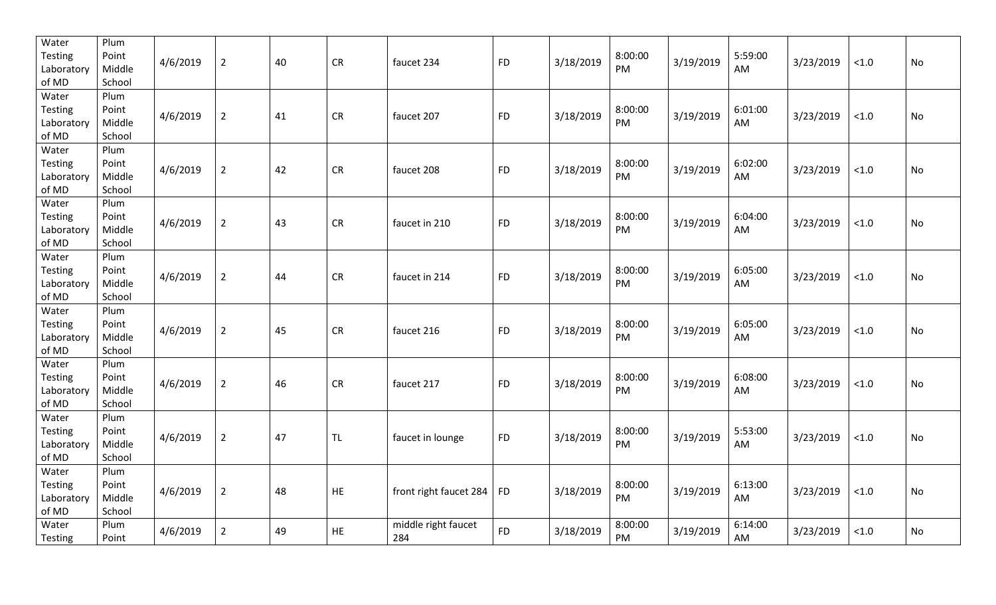| Water<br>Testing<br>Laboratory<br>of MD        | Plum<br>Point<br>Middle<br>School | 4/6/2019 | $\overline{2}$ | 40 | ${\sf CR}$ | faucet 234                 | <b>FD</b> | 3/18/2019 | 8:00:00<br>PM | 3/19/2019 | 5:59:00<br>AM | 3/23/2019 | $<1.0$ | No |
|------------------------------------------------|-----------------------------------|----------|----------------|----|------------|----------------------------|-----------|-----------|---------------|-----------|---------------|-----------|--------|----|
| Water<br>Testing<br>Laboratory<br>of MD        | Plum<br>Point<br>Middle<br>School | 4/6/2019 | $\overline{2}$ | 41 | ${\sf CR}$ | faucet 207                 | <b>FD</b> | 3/18/2019 | 8:00:00<br>PM | 3/19/2019 | 6:01:00<br>AM | 3/23/2019 | < 1.0  | No |
| Water<br>Testing<br>Laboratory<br>of MD        | Plum<br>Point<br>Middle<br>School | 4/6/2019 | $\overline{2}$ | 42 | ${\sf CR}$ | faucet 208                 | <b>FD</b> | 3/18/2019 | 8:00:00<br>PM | 3/19/2019 | 6:02:00<br>AM | 3/23/2019 | $<1.0$ | No |
| Water<br>Testing<br>Laboratory<br>of MD        | Plum<br>Point<br>Middle<br>School | 4/6/2019 | $\overline{2}$ | 43 | ${\sf CR}$ | faucet in 210              | <b>FD</b> | 3/18/2019 | 8:00:00<br>PM | 3/19/2019 | 6:04:00<br>AM | 3/23/2019 | $<1.0$ | No |
| Water<br>Testing<br>Laboratory<br>of MD        | Plum<br>Point<br>Middle<br>School | 4/6/2019 | $\overline{2}$ | 44 | ${\sf CR}$ | faucet in 214              | <b>FD</b> | 3/18/2019 | 8:00:00<br>PM | 3/19/2019 | 6:05:00<br>AM | 3/23/2019 | $<1.0$ | No |
| Water<br><b>Testing</b><br>Laboratory<br>of MD | Plum<br>Point<br>Middle<br>School | 4/6/2019 | $\overline{2}$ | 45 | CR         | faucet 216                 | <b>FD</b> | 3/18/2019 | 8:00:00<br>PM | 3/19/2019 | 6:05:00<br>AM | 3/23/2019 | $<1.0$ | No |
| Water<br><b>Testing</b><br>Laboratory<br>of MD | Plum<br>Point<br>Middle<br>School | 4/6/2019 | $\overline{2}$ | 46 | CR         | faucet 217                 | <b>FD</b> | 3/18/2019 | 8:00:00<br>PM | 3/19/2019 | 6:08:00<br>AM | 3/23/2019 | $<1.0$ | No |
| Water<br>Testing<br>Laboratory<br>of MD        | Plum<br>Point<br>Middle<br>School | 4/6/2019 | $\overline{2}$ | 47 | <b>TL</b>  | faucet in lounge           | <b>FD</b> | 3/18/2019 | 8:00:00<br>PM | 3/19/2019 | 5:53:00<br>AM | 3/23/2019 | $<1.0$ | No |
| Water<br>Testing<br>Laboratory<br>of MD        | Plum<br>Point<br>Middle<br>School | 4/6/2019 | $\overline{2}$ | 48 | ${\sf HE}$ | front right faucet 284     | <b>FD</b> | 3/18/2019 | 8:00:00<br>PM | 3/19/2019 | 6:13:00<br>AM | 3/23/2019 | $<1.0$ | No |
| Water<br>Testing                               | Plum<br>Point                     | 4/6/2019 | $\overline{2}$ | 49 | <b>HE</b>  | middle right faucet<br>284 | <b>FD</b> | 3/18/2019 | 8:00:00<br>PM | 3/19/2019 | 6:14:00<br>AM | 3/23/2019 | < 1.0  | No |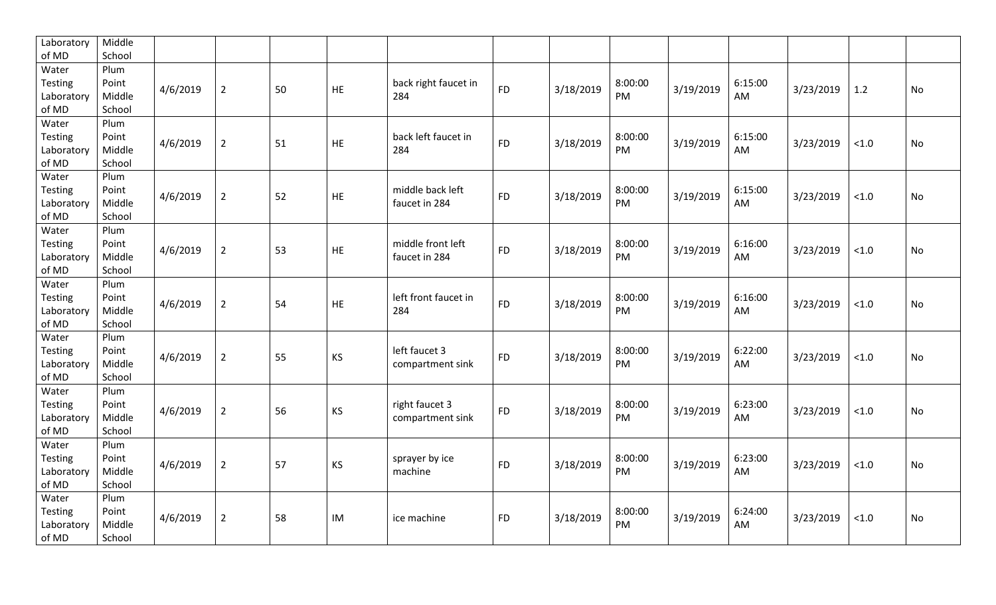| Laboratory     | Middle |          |                |    |           |                      |           |           |         |           |         |           |       |           |
|----------------|--------|----------|----------------|----|-----------|----------------------|-----------|-----------|---------|-----------|---------|-----------|-------|-----------|
| of MD          | School |          |                |    |           |                      |           |           |         |           |         |           |       |           |
| Water          | Plum   |          |                |    |           |                      |           |           |         |           |         |           |       |           |
| Testing        | Point  | 4/6/2019 | $\overline{2}$ | 50 | HE        | back right faucet in | <b>FD</b> | 3/18/2019 | 8:00:00 | 3/19/2019 | 6:15:00 | 3/23/2019 | 1.2   | No        |
| Laboratory     | Middle |          |                |    |           | 284                  |           |           | PM      |           | AM      |           |       |           |
| of MD          | School |          |                |    |           |                      |           |           |         |           |         |           |       |           |
| Water          | Plum   |          |                |    |           |                      |           |           |         |           |         |           |       |           |
| Testing        | Point  |          |                |    |           | back left faucet in  |           |           | 8:00:00 |           | 6:15:00 |           |       |           |
| Laboratory     | Middle | 4/6/2019 | $\overline{2}$ | 51 | <b>HE</b> | 284                  | <b>FD</b> | 3/18/2019 | PM      | 3/19/2019 | AM      | 3/23/2019 | < 1.0 | <b>No</b> |
| of MD          | School |          |                |    |           |                      |           |           |         |           |         |           |       |           |
| Water          | Plum   |          |                |    |           |                      |           |           |         |           |         |           |       |           |
| Testing        | Point  |          |                |    |           | middle back left     |           |           | 8:00:00 |           | 6:15:00 |           |       |           |
| Laboratory     | Middle | 4/6/2019 | $\overline{2}$ | 52 | HE        | faucet in 284        | <b>FD</b> | 3/18/2019 | PM      | 3/19/2019 | AM      | 3/23/2019 | < 1.0 | No        |
| of MD          | School |          |                |    |           |                      |           |           |         |           |         |           |       |           |
| Water          | Plum   |          |                |    |           |                      |           |           |         |           |         |           |       |           |
| Testing        | Point  |          |                |    |           | middle front left    |           |           | 8:00:00 |           | 6:16:00 |           |       |           |
| Laboratory     | Middle | 4/6/2019 | $\overline{2}$ | 53 | HE        | faucet in 284        | <b>FD</b> | 3/18/2019 | PM      | 3/19/2019 | AM      | 3/23/2019 | < 1.0 | No        |
| of MD          | School |          |                |    |           |                      |           |           |         |           |         |           |       |           |
| Water          | Plum   |          |                |    |           |                      |           |           |         |           |         |           |       |           |
| Testing        | Point  |          |                |    |           | left front faucet in |           |           | 8:00:00 |           | 6:16:00 |           |       |           |
| Laboratory     | Middle | 4/6/2019 | $\overline{2}$ | 54 | HE        | 284                  | <b>FD</b> | 3/18/2019 | PM      | 3/19/2019 | AM      | 3/23/2019 | < 1.0 | No        |
| of MD          | School |          |                |    |           |                      |           |           |         |           |         |           |       |           |
| Water          | Plum   |          |                |    |           |                      |           |           |         |           |         |           |       |           |
| <b>Testing</b> | Point  |          |                |    |           | left faucet 3        |           |           | 8:00:00 |           | 6:22:00 |           |       |           |
| Laboratory     | Middle | 4/6/2019 | $\overline{2}$ | 55 | KS        | compartment sink     | <b>FD</b> | 3/18/2019 | PM      | 3/19/2019 | AM      | 3/23/2019 | < 1.0 | No        |
| of MD          | School |          |                |    |           |                      |           |           |         |           |         |           |       |           |
| Water          | Plum   |          |                |    |           |                      |           |           |         |           |         |           |       |           |
| Testing        | Point  |          |                |    |           | right faucet 3       |           |           | 8:00:00 |           | 6:23:00 |           |       |           |
| Laboratory     | Middle | 4/6/2019 | $\overline{2}$ | 56 | <b>KS</b> | compartment sink     | <b>FD</b> | 3/18/2019 | PM      | 3/19/2019 | AM      | 3/23/2019 | < 1.0 | No        |
| of MD          | School |          |                |    |           |                      |           |           |         |           |         |           |       |           |
| Water          | Plum   |          |                |    |           |                      |           |           |         |           |         |           |       |           |
| Testing        | Point  |          |                |    |           | sprayer by ice       |           |           | 8:00:00 |           | 6:23:00 |           |       |           |
| Laboratory     | Middle | 4/6/2019 | $\overline{2}$ | 57 | <b>KS</b> | machine              | <b>FD</b> | 3/18/2019 | PM      | 3/19/2019 | AM      | 3/23/2019 | < 1.0 | <b>No</b> |
| of MD          | School |          |                |    |           |                      |           |           |         |           |         |           |       |           |
| Water          | Plum   |          |                |    |           |                      |           |           |         |           |         |           |       |           |
| Testing        | Point  |          |                |    |           |                      |           |           | 8:00:00 |           | 6:24:00 |           |       |           |
| Laboratory     | Middle | 4/6/2019 | $\overline{2}$ | 58 | IM        | ice machine          | <b>FD</b> | 3/18/2019 | PM      | 3/19/2019 | AM      | 3/23/2019 | < 1.0 | <b>No</b> |
| of MD          |        |          |                |    |           |                      |           |           |         |           |         |           |       |           |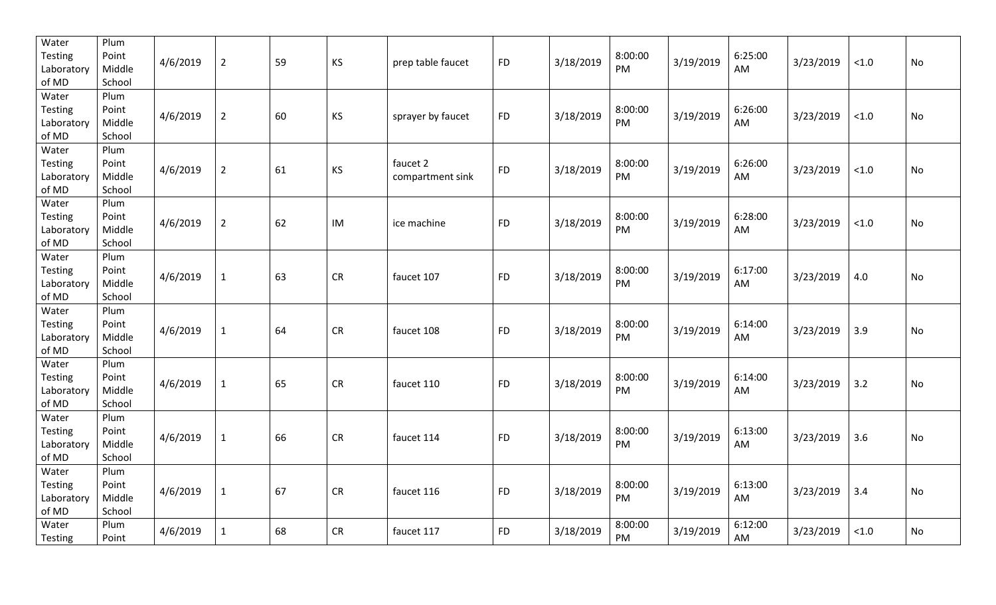| Water<br>Testing<br>Laboratory<br>of MD        | Plum<br>Point<br>Middle<br>School | 4/6/2019 | $\overline{2}$ | 59 | KS         | prep table faucet            | <b>FD</b> | 3/18/2019 | 8:00:00<br>PM | 3/19/2019 | 6:25:00<br>AM | 3/23/2019 | $<1.0$ | No |
|------------------------------------------------|-----------------------------------|----------|----------------|----|------------|------------------------------|-----------|-----------|---------------|-----------|---------------|-----------|--------|----|
| Water<br>Testing<br>Laboratory<br>of MD        | Plum<br>Point<br>Middle<br>School | 4/6/2019 | $\overline{2}$ | 60 | KS         | sprayer by faucet            | <b>FD</b> | 3/18/2019 | 8:00:00<br>PM | 3/19/2019 | 6:26:00<br>AM | 3/23/2019 | < 1.0  | No |
| Water<br>Testing<br>Laboratory<br>of MD        | Plum<br>Point<br>Middle<br>School | 4/6/2019 | $\overline{2}$ | 61 | KS         | faucet 2<br>compartment sink | <b>FD</b> | 3/18/2019 | 8:00:00<br>PM | 3/19/2019 | 6:26:00<br>AM | 3/23/2019 | $<1.0$ | No |
| Water<br>Testing<br>Laboratory<br>of MD        | Plum<br>Point<br>Middle<br>School | 4/6/2019 | $\overline{2}$ | 62 | IM         | ice machine                  | <b>FD</b> | 3/18/2019 | 8:00:00<br>PM | 3/19/2019 | 6:28:00<br>AM | 3/23/2019 | $<1.0$ | No |
| Water<br>Testing<br>Laboratory<br>of MD        | Plum<br>Point<br>Middle<br>School | 4/6/2019 | $\mathbf{1}$   | 63 | ${\sf CR}$ | faucet 107                   | <b>FD</b> | 3/18/2019 | 8:00:00<br>PM | 3/19/2019 | 6:17:00<br>AM | 3/23/2019 | 4.0    | No |
| Water<br><b>Testing</b><br>Laboratory<br>of MD | Plum<br>Point<br>Middle<br>School | 4/6/2019 | $\mathbf{1}$   | 64 | CR         | faucet 108                   | <b>FD</b> | 3/18/2019 | 8:00:00<br>PM | 3/19/2019 | 6:14:00<br>AM | 3/23/2019 | 3.9    | No |
| Water<br><b>Testing</b><br>Laboratory<br>of MD | Plum<br>Point<br>Middle<br>School | 4/6/2019 | $\mathbf{1}$   | 65 | CR         | faucet 110                   | <b>FD</b> | 3/18/2019 | 8:00:00<br>PM | 3/19/2019 | 6:14:00<br>AM | 3/23/2019 | 3.2    | No |
| Water<br>Testing<br>Laboratory<br>of MD        | Plum<br>Point<br>Middle<br>School | 4/6/2019 | $\mathbf{1}$   | 66 | CR         | faucet 114                   | <b>FD</b> | 3/18/2019 | 8:00:00<br>PM | 3/19/2019 | 6:13:00<br>AM | 3/23/2019 | 3.6    | No |
| Water<br>Testing<br>Laboratory<br>of MD        | Plum<br>Point<br>Middle<br>School | 4/6/2019 | $\mathbf{1}$   | 67 | ${\sf CR}$ | faucet 116                   | <b>FD</b> | 3/18/2019 | 8:00:00<br>PM | 3/19/2019 | 6:13:00<br>AM | 3/23/2019 | 3.4    | No |
| Water<br>Testing                               | Plum<br>Point                     | 4/6/2019 | $\mathbf{1}$   | 68 | CR         | faucet 117                   | <b>FD</b> | 3/18/2019 | 8:00:00<br>PM | 3/19/2019 | 6:12:00<br>AM | 3/23/2019 | < 1.0  | No |